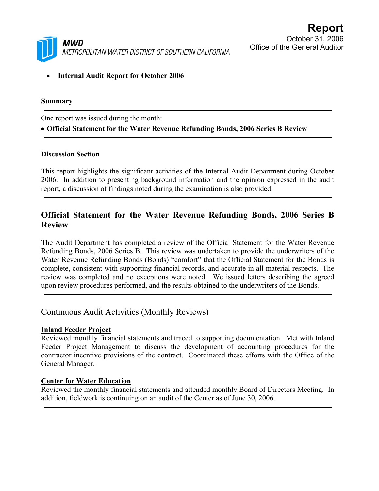

• **Internal Audit Report for October 2006** 

### **Summary**

One report was issued during the month: • **Official Statement for the Water Revenue Refunding Bonds, 2006 Series B Review**

#### **Discussion Section**

This report highlights the significant activities of the Internal Audit Department during October 2006. In addition to presenting background information and the opinion expressed in the audit report, a discussion of findings noted during the examination is also provided.

# **Official Statement for the Water Revenue Refunding Bonds, 2006 Series B Review**

The Audit Department has completed a review of the Official Statement for the Water Revenue Refunding Bonds, 2006 Series B. This review was undertaken to provide the underwriters of the Water Revenue Refunding Bonds (Bonds) "comfort" that the Official Statement for the Bonds is complete, consistent with supporting financial records, and accurate in all material respects. The review was completed and no exceptions were noted. We issued letters describing the agreed upon review procedures performed, and the results obtained to the underwriters of the Bonds.

Continuous Audit Activities (Monthly Reviews)

### **Inland Feeder Project**

Reviewed monthly financial statements and traced to supporting documentation. Met with Inland Feeder Project Management to discuss the development of accounting procedures for the contractor incentive provisions of the contract. Coordinated these efforts with the Office of the General Manager.

### **Center for Water Education**

Reviewed the monthly financial statements and attended monthly Board of Directors Meeting. In addition, fieldwork is continuing on an audit of the Center as of June 30, 2006.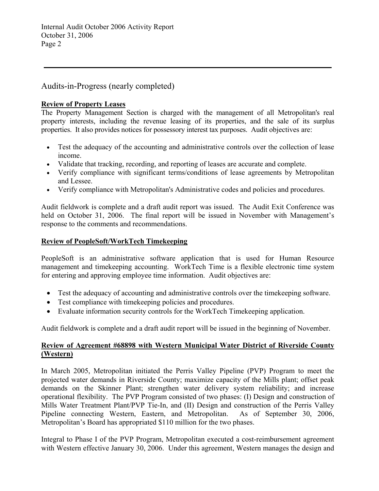Audits-in-Progress (nearly completed)

### **Review of Property Leases**

The Property Management Section is charged with the management of all Metropolitan's real property interests, including the revenue leasing of its properties, and the sale of its surplus properties. It also provides notices for possessory interest tax purposes. Audit objectives are:

- Test the adequacy of the accounting and administrative controls over the collection of lease income.
- Validate that tracking, recording, and reporting of leases are accurate and complete.
- Verify compliance with significant terms/conditions of lease agreements by Metropolitan and Lessee.
- Verify compliance with Metropolitan's Administrative codes and policies and procedures.

Audit fieldwork is complete and a draft audit report was issued. The Audit Exit Conference was held on October 31, 2006. The final report will be issued in November with Management's response to the comments and recommendations.

### **Review of PeopleSoft/WorkTech Timekeeping**

PeopleSoft is an administrative software application that is used for Human Resource management and timekeeping accounting. WorkTech Time is a flexible electronic time system for entering and approving employee time information. Audit objectives are:

- Test the adequacy of accounting and administrative controls over the timekeeping software.
- Test compliance with time keeping policies and procedures.
- Evaluate information security controls for the WorkTech Timekeeping application.

Audit fieldwork is complete and a draft audit report will be issued in the beginning of November.

## **Review of Agreement #68898 with Western Municipal Water District of Riverside County (Western)**

In March 2005, Metropolitan initiated the Perris Valley Pipeline (PVP) Program to meet the projected water demands in Riverside County; maximize capacity of the Mills plant; offset peak demands on the Skinner Plant; strengthen water delivery system reliability; and increase operational flexibility. The PVP Program consisted of two phases: (I) Design and construction of Mills Water Treatment Plant/PVP Tie-In, and (II) Design and construction of the Perris Valley Pipeline connecting Western, Eastern, and Metropolitan. As of September 30, 2006, Metropolitan's Board has appropriated \$110 million for the two phases.

Integral to Phase I of the PVP Program, Metropolitan executed a cost-reimbursement agreement with Western effective January 30, 2006. Under this agreement, Western manages the design and